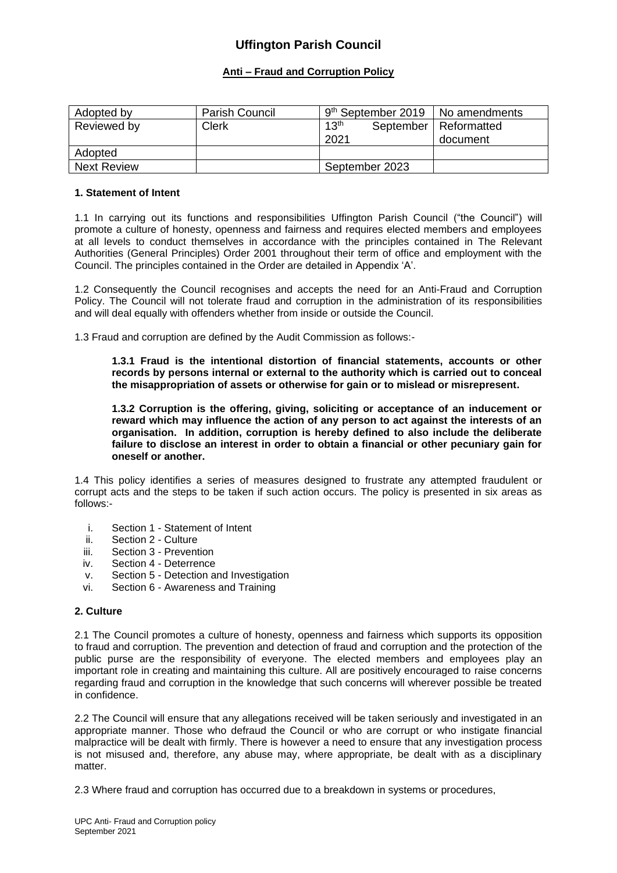# **Anti – Fraud and Corruption Policy**

| Adopted by         | Parish Council | $9th$ September 2019   No amendments |                                     |
|--------------------|----------------|--------------------------------------|-------------------------------------|
| Reviewed by        | <b>Clerk</b>   | 13 <sup>th</sup><br>2021             | September   Reformatted<br>document |
| Adopted            |                |                                      |                                     |
| <b>Next Review</b> |                | September 2023                       |                                     |

# **1. Statement of Intent**

1.1 In carrying out its functions and responsibilities Uffington Parish Council ("the Council") will promote a culture of honesty, openness and fairness and requires elected members and employees at all levels to conduct themselves in accordance with the principles contained in The Relevant Authorities (General Principles) Order 2001 throughout their term of office and employment with the Council. The principles contained in the Order are detailed in Appendix 'A'.

1.2 Consequently the Council recognises and accepts the need for an Anti-Fraud and Corruption Policy. The Council will not tolerate fraud and corruption in the administration of its responsibilities and will deal equally with offenders whether from inside or outside the Council.

1.3 Fraud and corruption are defined by the Audit Commission as follows:-

**1.3.1 Fraud is the intentional distortion of financial statements, accounts or other records by persons internal or external to the authority which is carried out to conceal the misappropriation of assets or otherwise for gain or to mislead or misrepresent.**

**1.3.2 Corruption is the offering, giving, soliciting or acceptance of an inducement or reward which may influence the action of any person to act against the interests of an organisation. In addition, corruption is hereby defined to also include the deliberate failure to disclose an interest in order to obtain a financial or other pecuniary gain for oneself or another.**

1.4 This policy identifies a series of measures designed to frustrate any attempted fraudulent or corrupt acts and the steps to be taken if such action occurs. The policy is presented in six areas as follows:-

- i. Section 1 Statement of Intent<br>ii. Section 2 Culture
- Section 2 Culture
- iii. Section 3 Prevention
- iv. Section 4 Deterrence
- v. Section 5 Detection and Investigation
- vi. Section 6 Awareness and Training

# **2. Culture**

2.1 The Council promotes a culture of honesty, openness and fairness which supports its opposition to fraud and corruption. The prevention and detection of fraud and corruption and the protection of the public purse are the responsibility of everyone. The elected members and employees play an important role in creating and maintaining this culture. All are positively encouraged to raise concerns regarding fraud and corruption in the knowledge that such concerns will wherever possible be treated in confidence.

2.2 The Council will ensure that any allegations received will be taken seriously and investigated in an appropriate manner. Those who defraud the Council or who are corrupt or who instigate financial malpractice will be dealt with firmly. There is however a need to ensure that any investigation process is not misused and, therefore, any abuse may, where appropriate, be dealt with as a disciplinary matter.

2.3 Where fraud and corruption has occurred due to a breakdown in systems or procedures,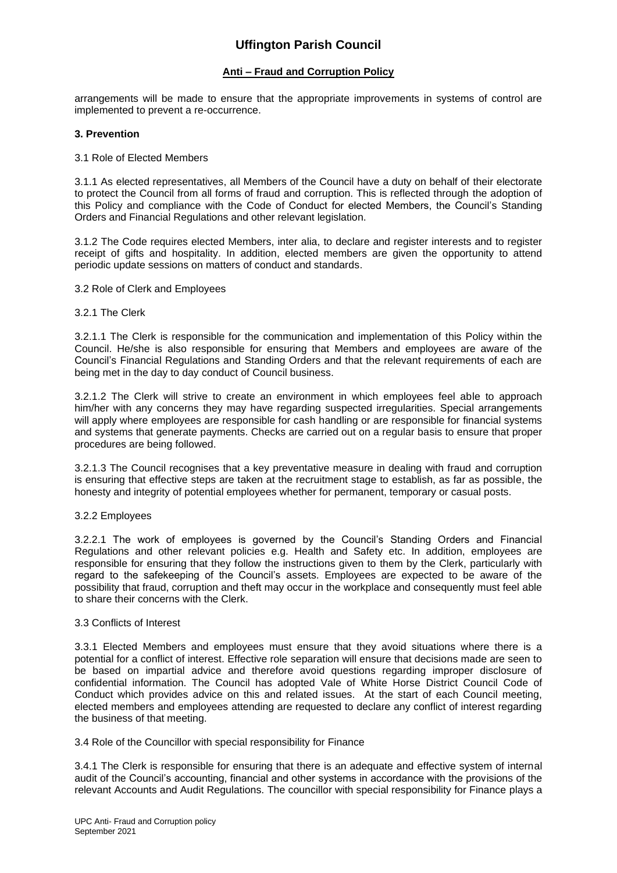# **Anti – Fraud and Corruption Policy**

arrangements will be made to ensure that the appropriate improvements in systems of control are implemented to prevent a re-occurrence.

## **3. Prevention**

#### 3.1 Role of Elected Members

3.1.1 As elected representatives, all Members of the Council have a duty on behalf of their electorate to protect the Council from all forms of fraud and corruption. This is reflected through the adoption of this Policy and compliance with the Code of Conduct for elected Members, the Council's Standing Orders and Financial Regulations and other relevant legislation.

3.1.2 The Code requires elected Members, inter alia, to declare and register interests and to register receipt of gifts and hospitality. In addition, elected members are given the opportunity to attend periodic update sessions on matters of conduct and standards.

# 3.2 Role of Clerk and Employees

## 3.2.1 The Clerk

3.2.1.1 The Clerk is responsible for the communication and implementation of this Policy within the Council. He/she is also responsible for ensuring that Members and employees are aware of the Council's Financial Regulations and Standing Orders and that the relevant requirements of each are being met in the day to day conduct of Council business.

3.2.1.2 The Clerk will strive to create an environment in which employees feel able to approach him/her with any concerns they may have regarding suspected irregularities. Special arrangements will apply where employees are responsible for cash handling or are responsible for financial systems and systems that generate payments. Checks are carried out on a regular basis to ensure that proper procedures are being followed.

3.2.1.3 The Council recognises that a key preventative measure in dealing with fraud and corruption is ensuring that effective steps are taken at the recruitment stage to establish, as far as possible, the honesty and integrity of potential employees whether for permanent, temporary or casual posts.

#### 3.2.2 Employees

3.2.2.1 The work of employees is governed by the Council's Standing Orders and Financial Regulations and other relevant policies e.g. Health and Safety etc. In addition, employees are responsible for ensuring that they follow the instructions given to them by the Clerk, particularly with regard to the safekeeping of the Council's assets. Employees are expected to be aware of the possibility that fraud, corruption and theft may occur in the workplace and consequently must feel able to share their concerns with the Clerk.

#### 3.3 Conflicts of Interest

3.3.1 Elected Members and employees must ensure that they avoid situations where there is a potential for a conflict of interest. Effective role separation will ensure that decisions made are seen to be based on impartial advice and therefore avoid questions regarding improper disclosure of confidential information. The Council has adopted Vale of White Horse District Council Code of Conduct which provides advice on this and related issues. At the start of each Council meeting, elected members and employees attending are requested to declare any conflict of interest regarding the business of that meeting.

#### 3.4 Role of the Councillor with special responsibility for Finance

3.4.1 The Clerk is responsible for ensuring that there is an adequate and effective system of internal audit of the Council's accounting, financial and other systems in accordance with the provisions of the relevant Accounts and Audit Regulations. The councillor with special responsibility for Finance plays a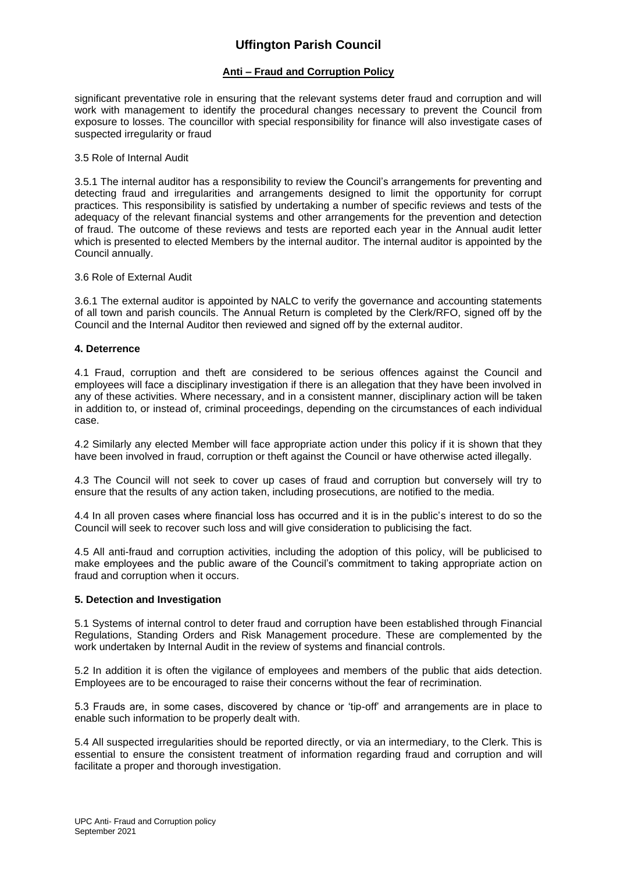# **Anti – Fraud and Corruption Policy**

significant preventative role in ensuring that the relevant systems deter fraud and corruption and will work with management to identify the procedural changes necessary to prevent the Council from exposure to losses. The councillor with special responsibility for finance will also investigate cases of suspected irregularity or fraud

### 3.5 Role of Internal Audit

3.5.1 The internal auditor has a responsibility to review the Council's arrangements for preventing and detecting fraud and irregularities and arrangements designed to limit the opportunity for corrupt practices. This responsibility is satisfied by undertaking a number of specific reviews and tests of the adequacy of the relevant financial systems and other arrangements for the prevention and detection of fraud. The outcome of these reviews and tests are reported each year in the Annual audit letter which is presented to elected Members by the internal auditor. The internal auditor is appointed by the Council annually.

## 3.6 Role of External Audit

3.6.1 The external auditor is appointed by NALC to verify the governance and accounting statements of all town and parish councils. The Annual Return is completed by the Clerk/RFO, signed off by the Council and the Internal Auditor then reviewed and signed off by the external auditor.

# **4. Deterrence**

4.1 Fraud, corruption and theft are considered to be serious offences against the Council and employees will face a disciplinary investigation if there is an allegation that they have been involved in any of these activities. Where necessary, and in a consistent manner, disciplinary action will be taken in addition to, or instead of, criminal proceedings, depending on the circumstances of each individual case.

4.2 Similarly any elected Member will face appropriate action under this policy if it is shown that they have been involved in fraud, corruption or theft against the Council or have otherwise acted illegally.

4.3 The Council will not seek to cover up cases of fraud and corruption but conversely will try to ensure that the results of any action taken, including prosecutions, are notified to the media.

4.4 In all proven cases where financial loss has occurred and it is in the public's interest to do so the Council will seek to recover such loss and will give consideration to publicising the fact.

4.5 All anti-fraud and corruption activities, including the adoption of this policy, will be publicised to make employees and the public aware of the Council's commitment to taking appropriate action on fraud and corruption when it occurs.

# **5. Detection and Investigation**

5.1 Systems of internal control to deter fraud and corruption have been established through Financial Regulations, Standing Orders and Risk Management procedure. These are complemented by the work undertaken by Internal Audit in the review of systems and financial controls.

5.2 In addition it is often the vigilance of employees and members of the public that aids detection. Employees are to be encouraged to raise their concerns without the fear of recrimination.

5.3 Frauds are, in some cases, discovered by chance or 'tip-off' and arrangements are in place to enable such information to be properly dealt with.

5.4 All suspected irregularities should be reported directly, or via an intermediary, to the Clerk. This is essential to ensure the consistent treatment of information regarding fraud and corruption and will facilitate a proper and thorough investigation.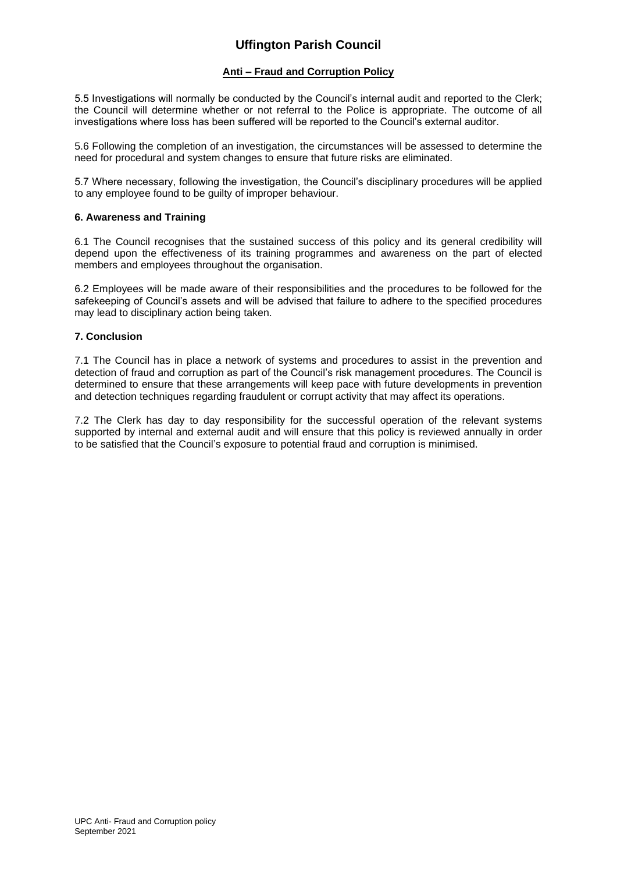# **Anti – Fraud and Corruption Policy**

5.5 Investigations will normally be conducted by the Council's internal audit and reported to the Clerk; the Council will determine whether or not referral to the Police is appropriate. The outcome of all investigations where loss has been suffered will be reported to the Council's external auditor.

5.6 Following the completion of an investigation, the circumstances will be assessed to determine the need for procedural and system changes to ensure that future risks are eliminated.

5.7 Where necessary, following the investigation, the Council's disciplinary procedures will be applied to any employee found to be guilty of improper behaviour.

# **6. Awareness and Training**

6.1 The Council recognises that the sustained success of this policy and its general credibility will depend upon the effectiveness of its training programmes and awareness on the part of elected members and employees throughout the organisation.

6.2 Employees will be made aware of their responsibilities and the procedures to be followed for the safekeeping of Council's assets and will be advised that failure to adhere to the specified procedures may lead to disciplinary action being taken.

# **7. Conclusion**

7.1 The Council has in place a network of systems and procedures to assist in the prevention and detection of fraud and corruption as part of the Council's risk management procedures. The Council is determined to ensure that these arrangements will keep pace with future developments in prevention and detection techniques regarding fraudulent or corrupt activity that may affect its operations.

7.2 The Clerk has day to day responsibility for the successful operation of the relevant systems supported by internal and external audit and will ensure that this policy is reviewed annually in order to be satisfied that the Council's exposure to potential fraud and corruption is minimised.